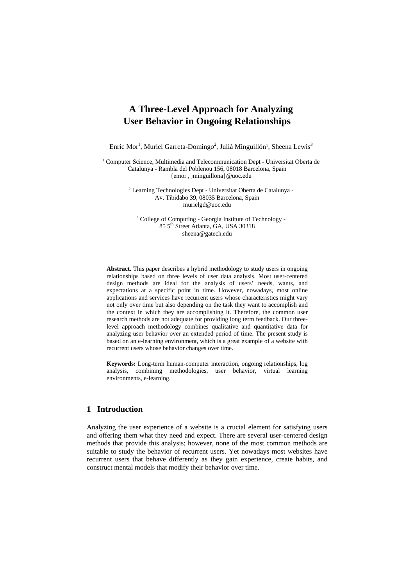# **A Three-Level Approach for Analyzing User Behavior in Ongoing Relationships**

Enric Mor<sup>1</sup>, Muriel Garreta-Domingo<sup>2</sup>, Julià Minguillón<sup>1</sup>, Sheena Lewis<sup>3</sup>

<sup>1</sup> Computer Science, Multimedia and Telecommunication Dept - Universitat Oberta de Catalunya - Rambla del Poblenou 156, 08018 Barcelona, Spain {emor , jminguillona}@uoc.edu

> 2 Learning Technologies Dept - Universitat Oberta de Catalunya - Av. Tibidabo 39, 08035 Barcelona, Spain murielgd@uoc.edu

<sup>3</sup> College of Computing - Georgia Institute of Technology -85 5th Street Atlanta, GA, USA 30318 sheena@gatech.edu

**Abstract.** This paper describes a hybrid methodology to study users in ongoing relationships based on three levels of user data analysis. Most user-centered design methods are ideal for the analysis of users' needs, wants, and expectations at a specific point in time. However, nowadays, most online applications and services have recurrent users whose characteristics might vary not only over time but also depending on the task they want to accomplish and the context in which they are accomplishing it. Therefore, the common user research methods are not adequate for providing long term feedback. Our threelevel approach methodology combines qualitative and quantitative data for analyzing user behavior over an extended period of time. The present study is based on an e-learning environment, which is a great example of a website with recurrent users whose behavior changes over time.

**Keywords:** Long-term human-computer interaction, ongoing relationships, log analysis, combining methodologies, user behavior, virtual learning environments, e-learning.

# **1 Introduction**

Analyzing the user experience of a website is a crucial element for satisfying users and offering them what they need and expect. There are several user-centered design methods that provide this analysis; however, none of the most common methods are suitable to study the behavior of recurrent users. Yet nowadays most websites have recurrent users that behave differently as they gain experience, create habits, and construct mental models that modify their behavior over time.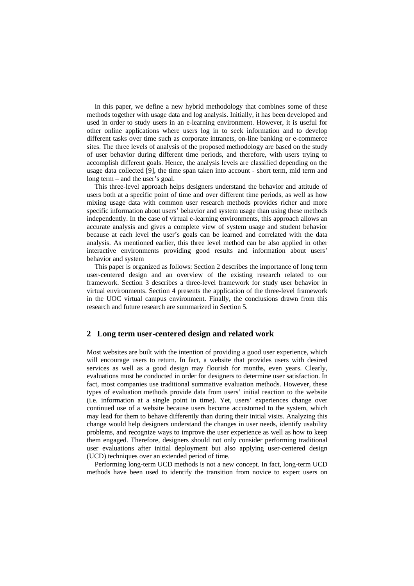In this paper, we define a new hybrid methodology that combines some of these methods together with usage data and log analysis. Initially, it has been developed and used in order to study users in an e-learning environment. However, it is useful for other online applications where users log in to seek information and to develop different tasks over time such as corporate intranets, on-line banking or e-commerce sites. The three levels of analysis of the proposed methodology are based on the study of user behavior during different time periods, and therefore, with users trying to accomplish different goals. Hence, the analysis levels are classified depending on the usage data collected [9], the time span taken into account - short term, mid term and long term – and the user's goal.

This three-level approach helps designers understand the behavior and attitude of users both at a specific point of time and over different time periods, as well as how mixing usage data with common user research methods provides richer and more specific information about users' behavior and system usage than using these methods independently. In the case of virtual e-learning environments, this approach allows an accurate analysis and gives a complete view of system usage and student behavior because at each level the user's goals can be learned and correlated with the data analysis. As mentioned earlier, this three level method can be also applied in other interactive environments providing good results and information about users' behavior and system

This paper is organized as follows: Section 2 describes the importance of long term user-centered design and an overview of the existing research related to our framework. Section 3 describes a three-level framework for study user behavior in virtual environments. Section 4 presents the application of the three-level framework in the UOC virtual campus environment. Finally, the conclusions drawn from this research and future research are summarized in Section 5.

### **2 Long term user-centered design and related work**

Most websites are built with the intention of providing a good user experience, which will encourage users to return. In fact, a website that provides users with desired services as well as a good design may flourish for months, even years. Clearly, evaluations must be conducted in order for designers to determine user satisfaction. In fact, most companies use traditional summative evaluation methods. However, these types of evaluation methods provide data from users' initial reaction to the website (i.e. information at a single point in time). Yet, users' experiences change over continued use of a website because users become accustomed to the system, which may lead for them to behave differently than during their initial visits. Analyzing this change would help designers understand the changes in user needs, identify usability problems, and recognize ways to improve the user experience as well as how to keep them engaged. Therefore, designers should not only consider performing traditional user evaluations after initial deployment but also applying user-centered design (UCD) techniques over an extended period of time.

Performing long-term UCD methods is not a new concept. In fact, long-term UCD methods have been used to identify the transition from novice to expert users on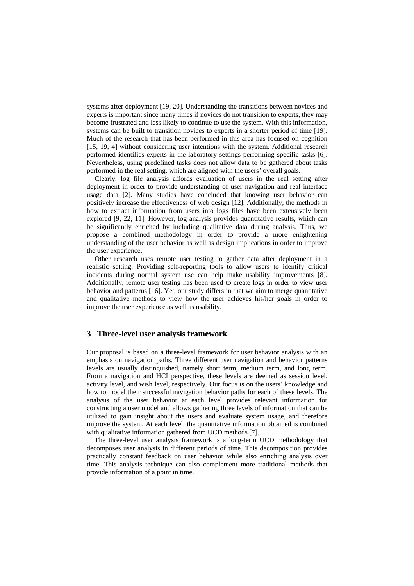systems after deployment [19, 20]. Understanding the transitions between novices and experts is important since many times if novices do not transition to experts, they may become frustrated and less likely to continue to use the system. With this information, systems can be built to transition novices to experts in a shorter period of time [19]. Much of the research that has been performed in this area has focused on cognition [15, 19, 4] without considering user intentions with the system. Additional research performed identifies experts in the laboratory settings performing specific tasks [6]. Nevertheless, using predefined tasks does not allow data to be gathered about tasks performed in the real setting, which are aligned with the users' overall goals.

Clearly, log file analysis affords evaluation of users in the real setting after deployment in order to provide understanding of user navigation and real interface usage data [2]. Many studies have concluded that knowing user behavior can positively increase the effectiveness of web design [12]. Additionally, the methods in how to extract information from users into logs files have been extensively been explored [9, 22, 11]. However, log analysis provides quantitative results, which can be significantly enriched by including qualitative data during analysis. Thus, we propose a combined methodology in order to provide a more enlightening understanding of the user behavior as well as design implications in order to improve the user experience.

Other research uses remote user testing to gather data after deployment in a realistic setting. Providing self-reporting tools to allow users to identify critical incidents during normal system use can help make usability improvements [8]. Additionally, remote user testing has been used to create logs in order to view user behavior and patterns [16]. Yet, our study differs in that we aim to merge quantitative and qualitative methods to view how the user achieves his/her goals in order to improve the user experience as well as usability.

# **3 Three-level user analysis framework**

Our proposal is based on a three-level framework for user behavior analysis with an emphasis on navigation paths. Three different user navigation and behavior patterns levels are usually distinguished, namely short term, medium term, and long term. From a navigation and HCI perspective, these levels are deemed as session level, activity level, and wish level, respectively. Our focus is on the users' knowledge and how to model their successful navigation behavior paths for each of these levels. The analysis of the user behavior at each level provides relevant information for constructing a user model and allows gathering three levels of information that can be utilized to gain insight about the users and evaluate system usage, and therefore improve the system. At each level, the quantitative information obtained is combined with qualitative information gathered from UCD methods [7].

The three-level user analysis framework is a long-term UCD methodology that decomposes user analysis in different periods of time. This decomposition provides practically constant feedback on user behavior while also enriching analysis over time. This analysis technique can also complement more traditional methods that provide information of a point in time.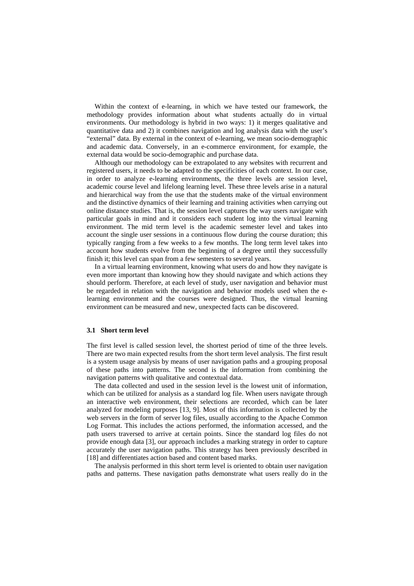Within the context of e-learning, in which we have tested our framework, the methodology provides information about what students actually do in virtual environments. Our methodology is hybrid in two ways: 1) it merges qualitative and quantitative data and 2) it combines navigation and log analysis data with the user's "external" data. By external in the context of e-learning, we mean socio-demographic and academic data. Conversely, in an e-commerce environment, for example, the external data would be socio-demographic and purchase data.

Although our methodology can be extrapolated to any websites with recurrent and registered users, it needs to be adapted to the specificities of each context. In our case, in order to analyze e-learning environments, the three levels are session level, academic course level and lifelong learning level. These three levels arise in a natural and hierarchical way from the use that the students make of the virtual environment and the distinctive dynamics of their learning and training activities when carrying out online distance studies. That is, the session level captures the way users navigate with particular goals in mind and it considers each student log into the virtual learning environment. The mid term level is the academic semester level and takes into account the single user sessions in a continuous flow during the course duration; this typically ranging from a few weeks to a few months. The long term level takes into account how students evolve from the beginning of a degree until they successfully finish it; this level can span from a few semesters to several years.

In a virtual learning environment, knowing what users do and how they navigate is even more important than knowing how they should navigate and which actions they should perform. Therefore, at each level of study, user navigation and behavior must be regarded in relation with the navigation and behavior models used when the elearning environment and the courses were designed. Thus, the virtual learning environment can be measured and new, unexpected facts can be discovered.

### **3.1 Short term level**

The first level is called session level, the shortest period of time of the three levels. There are two main expected results from the short term level analysis. The first result is a system usage analysis by means of user navigation paths and a grouping proposal of these paths into patterns. The second is the information from combining the navigation patterns with qualitative and contextual data.

The data collected and used in the session level is the lowest unit of information, which can be utilized for analysis as a standard log file. When users navigate through an interactive web environment, their selections are recorded, which can be later analyzed for modeling purposes [13, 9]. Most of this information is collected by the web servers in the form of server log files, usually according to the Apache Common Log Format. This includes the actions performed, the information accessed, and the path users traversed to arrive at certain points. Since the standard log files do not provide enough data [3], our approach includes a marking strategy in order to capture accurately the user navigation paths. This strategy has been previously described in [18] and differentiates action based and content based marks.

The analysis performed in this short term level is oriented to obtain user navigation paths and patterns. These navigation paths demonstrate what users really do in the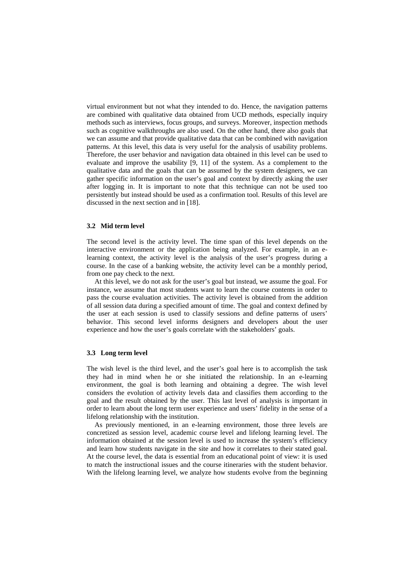virtual environment but not what they intended to do. Hence, the navigation patterns are combined with qualitative data obtained from UCD methods, especially inquiry methods such as interviews, focus groups, and surveys. Moreover, inspection methods such as cognitive walkthroughs are also used. On the other hand, there also goals that we can assume and that provide qualitative data that can be combined with navigation patterns. At this level, this data is very useful for the analysis of usability problems. Therefore, the user behavior and navigation data obtained in this level can be used to evaluate and improve the usability [9, 11] of the system. As a complement to the qualitative data and the goals that can be assumed by the system designers, we can gather specific information on the user's goal and context by directly asking the user after logging in. It is important to note that this technique can not be used too persistently but instead should be used as a confirmation tool. Results of this level are discussed in the next section and in [18].

### **3.2 Mid term level**

The second level is the activity level. The time span of this level depends on the interactive environment or the application being analyzed. For example, in an elearning context, the activity level is the analysis of the user's progress during a course. In the case of a banking website, the activity level can be a monthly period, from one pay check to the next.

At this level, we do not ask for the user's goal but instead, we assume the goal. For instance, we assume that most students want to learn the course contents in order to pass the course evaluation activities. The activity level is obtained from the addition of all session data during a specified amount of time. The goal and context defined by the user at each session is used to classify sessions and define patterns of users' behavior. This second level informs designers and developers about the user experience and how the user's goals correlate with the stakeholders' goals.

### **3.3 Long term level**

The wish level is the third level, and the user's goal here is to accomplish the task they had in mind when he or she initiated the relationship. In an e-learning environment, the goal is both learning and obtaining a degree. The wish level considers the evolution of activity levels data and classifies them according to the goal and the result obtained by the user. This last level of analysis is important in order to learn about the long term user experience and users' fidelity in the sense of a lifelong relationship with the institution.

As previously mentioned, in an e-learning environment, those three levels are concretized as session level, academic course level and lifelong learning level. The information obtained at the session level is used to increase the system's efficiency and learn how students navigate in the site and how it correlates to their stated goal. At the course level, the data is essential from an educational point of view: it is used to match the instructional issues and the course itineraries with the student behavior. With the lifelong learning level, we analyze how students evolve from the beginning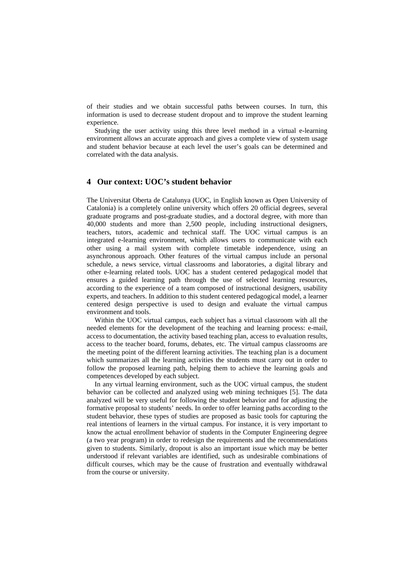of their studies and we obtain successful paths between courses. In turn, this information is used to decrease student dropout and to improve the student learning experience.

Studying the user activity using this three level method in a virtual e-learning environment allows an accurate approach and gives a complete view of system usage and student behavior because at each level the user's goals can be determined and correlated with the data analysis.

# **4 Our context: UOC's student behavior**

The Universitat Oberta de Catalunya (UOC, in English known as Open University of Catalonia) is a completely online university which offers 20 official degrees, several graduate programs and post-graduate studies, and a doctoral degree, with more than 40,000 students and more than 2,500 people, including instructional designers, teachers, tutors, academic and technical staff. The UOC virtual campus is an integrated e-learning environment, which allows users to communicate with each other using a mail system with complete timetable independence, using an asynchronous approach. Other features of the virtual campus include an personal schedule, a news service, virtual classrooms and laboratories, a digital library and other e-learning related tools. UOC has a student centered pedagogical model that ensures a guided learning path through the use of selected learning resources, according to the experience of a team composed of instructional designers, usability experts, and teachers. In addition to this student centered pedagogical model, a learner centered design perspective is used to design and evaluate the virtual campus environment and tools.

Within the UOC virtual campus, each subject has a virtual classroom with all the needed elements for the development of the teaching and learning process: e-mail, access to documentation, the activity based teaching plan, access to evaluation results, access to the teacher board, forums, debates, etc. The virtual campus classrooms are the meeting point of the different learning activities. The teaching plan is a document which summarizes all the learning activities the students must carry out in order to follow the proposed learning path, helping them to achieve the learning goals and competences developed by each subject.

In any virtual learning environment, such as the UOC virtual campus, the student behavior can be collected and analyzed using web mining techniques [5]. The data analyzed will be very useful for following the student behavior and for adjusting the formative proposal to students' needs. In order to offer learning paths according to the student behavior, these types of studies are proposed as basic tools for capturing the real intentions of learners in the virtual campus. For instance, it is very important to know the actual enrollment behavior of students in the Computer Engineering degree (a two year program) in order to redesign the requirements and the recommendations given to students. Similarly, dropout is also an important issue which may be better understood if relevant variables are identified, such as undesirable combinations of difficult courses, which may be the cause of frustration and eventually withdrawal from the course or university.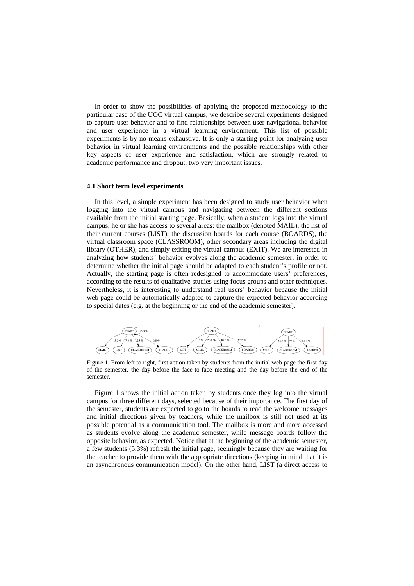In order to show the possibilities of applying the proposed methodology to the particular case of the UOC virtual campus, we describe several experiments designed to capture user behavior and to find relationships between user navigational behavior and user experience in a virtual learning environment. This list of possible experiments is by no means exhaustive. It is only a starting point for analyzing user behavior in virtual learning environments and the possible relationships with other key aspects of user experience and satisfaction, which are strongly related to academic performance and dropout, two very important issues.

## **4.1 Short term level experiments**

In this level, a simple experiment has been designed to study user behavior when logging into the virtual campus and navigating between the different sections available from the initial starting page. Basically, when a student logs into the virtual campus, he or she has access to several areas: the mailbox (denoted MAIL), the list of their current courses (LIST), the discussion boards for each course (BOARDS), the virtual classroom space (CLASSROOM), other secondary areas including the digital library (OTHER), and simply exiting the virtual campus (EXIT). We are interested in analyzing how students' behavior evolves along the academic semester, in order to determine whether the initial page should be adapted to each student's profile or not. Actually, the starting page is often redesigned to accommodate users' preferences, according to the results of qualitative studies using focus groups and other techniques. Nevertheless, it is interesting to understand real users' behavior because the initial web page could be automatically adapted to capture the expected behavior according to special dates (e.g. at the beginning or the end of the academic semester).



Figure 1. From left to right, first action taken by students from the initial web page the first day of the semester, the day before the face-to-face meeting and the day before the end of the semester.

Figure 1 shows the initial action taken by students once they log into the virtual campus for three different days, selected because of their importance. The first day of the semester, students are expected to go to the boards to read the welcome messages and initial directions given by teachers, while the mailbox is still not used at its possible potential as a communication tool. The mailbox is more and more accessed as students evolve along the academic semester, while message boards follow the opposite behavior, as expected. Notice that at the beginning of the academic semester, a few students (5.3%) refresh the initial page, seemingly because they are waiting for the teacher to provide them with the appropriate directions (keeping in mind that it is an asynchronous communication model). On the other hand, LIST (a direct access to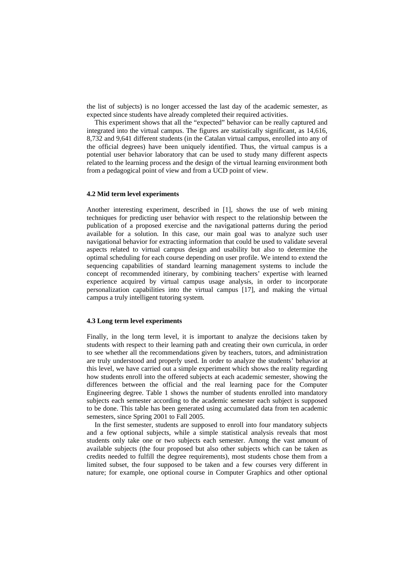the list of subjects) is no longer accessed the last day of the academic semester, as expected since students have already completed their required activities.

This experiment shows that all the "expected" behavior can be really captured and integrated into the virtual campus. The figures are statistically significant, as 14,616, 8,732 and 9,641 different students (in the Catalan virtual campus, enrolled into any of the official degrees) have been uniquely identified. Thus, the virtual campus is a potential user behavior laboratory that can be used to study many different aspects related to the learning process and the design of the virtual learning environment both from a pedagogical point of view and from a UCD point of view.

# **4.2 Mid term level experiments**

Another interesting experiment, described in [1], shows the use of web mining techniques for predicting user behavior with respect to the relationship between the publication of a proposed exercise and the navigational patterns during the period available for a solution. In this case, our main goal was to analyze such user navigational behavior for extracting information that could be used to validate several aspects related to virtual campus design and usability but also to determine the optimal scheduling for each course depending on user profile. We intend to extend the sequencing capabilities of standard learning management systems to include the concept of recommended itinerary, by combining teachers' expertise with learned experience acquired by virtual campus usage analysis, in order to incorporate personalization capabilities into the virtual campus [17], and making the virtual campus a truly intelligent tutoring system.

### **4.3 Long term level experiments**

Finally, in the long term level, it is important to analyze the decisions taken by students with respect to their learning path and creating their own curricula, in order to see whether all the recommendations given by teachers, tutors, and administration are truly understood and properly used. In order to analyze the students' behavior at this level, we have carried out a simple experiment which shows the reality regarding how students enroll into the offered subjects at each academic semester, showing the differences between the official and the real learning pace for the Computer Engineering degree. Table 1 shows the number of students enrolled into mandatory subjects each semester according to the academic semester each subject is supposed to be done. This table has been generated using accumulated data from ten academic semesters, since Spring 2001 to Fall 2005.

In the first semester, students are supposed to enroll into four mandatory subjects and a few optional subjects, while a simple statistical analysis reveals that most students only take one or two subjects each semester. Among the vast amount of available subjects (the four proposed but also other subjects which can be taken as credits needed to fulfill the degree requirements), most students chose them from a limited subset, the four supposed to be taken and a few courses very different in nature; for example, one optional course in Computer Graphics and other optional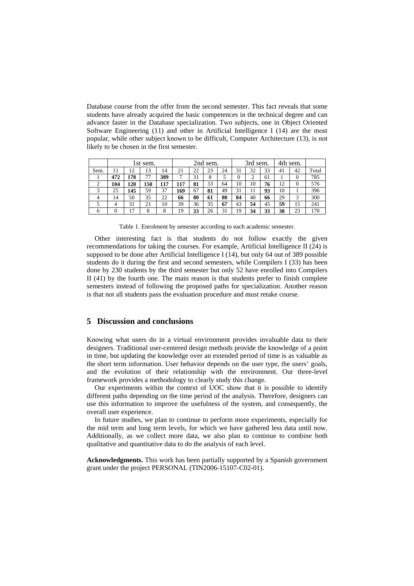Database course from the offer from the second semester. This fact reveals that some students have already acquired the basic competences in the technical degree and can advance faster in the Database specialization. Two subjects, one in Object Oriented Software Engineering (11) and other in Artificial Intelligence I (14) are the most popular, while other subject known to be difficult, Computer Architecture (13), is not likely to be chosen in the first semester.

|      | 1st sem. |     |     |     | 2nd sem. |    |    |    | 3rd sem. |    |    | 4th sem. |    |       |
|------|----------|-----|-----|-----|----------|----|----|----|----------|----|----|----------|----|-------|
| Sem. | 11       | 12  | 13  | 14  | 21       | 22 | 23 | 24 |          | 32 | 33 | 41       | 42 | Total |
|      | 472      | 178 | 77  | 389 |          | 31 | 8  |    |          | ◠  | 61 |          | 0  | 785   |
|      | 104      | 120 | 150 | 117 | 117      | 81 | 33 | 64 | 10       | 10 | 76 | 12       | 0  | 576   |
|      | 25       | 145 | 59  | 37  | 169      | 67 | 81 | 49 |          |    | 93 | 10       |    | 396   |
| 4    | 14       | 50  | 35  | 22  | 66       | 80 | 61 | 80 | 84       | 40 | 66 | 29       | 3  | 300   |
|      |          | 31  | 21  | 10  | 39       | 36 | 35 | 67 | 43       | 54 | 45 | 59       | 15 | 241   |
|      |          |     | 8   | 8   | 19       | 33 | 26 | 31 | 19       | 34 | 33 | 38       | 23 | 170   |

Table 1. Enrolment by semester according to each academic semester.

Other interesting fact is that students do not follow exactly the given recommendations for taking the courses. For example, Artificial Intelligence II (24) is supposed to be done after Artificial Intelligence I (14), but only 64 out of 389 possible students do it during the first and second semesters, while Compilers I (33) has been done by 230 students by the third semester but only 52 have enrolled into Compilers II (41) by the fourth one. The main reason is that students prefer to finish complete semesters instead of following the proposed paths for specialization. Another reason is that not all students pass the evaluation procedure and must retake course.

# **5 Discussion and conclusions**

Knowing what users do in a virtual environment provides invaluable data to their designers. Traditional user-centered design methods provide the knowledge of a point in time, but updating the knowledge over an extended period of time is as valuable as the short term information. User behavior depends on the user type, the users' goals, and the evolution of their relationship with the environment. Our three-level framework provides a methodology to clearly study this change.

Our experiments within the context of UOC show that it is possible to identify different paths depending on the time period of the analysis. Therefore, designers can use this information to improve the usefulness of the system, and consequently, the overall user experience.

In future studies, we plan to continue to perform more experiments, especially for the mid term and long term levels, for which we have gathered less data until now. Additionally, as we collect more data, we also plan to continue to combine both qualitative and quantitative data to do the analysis of each level.

**Acknowledgments.** This work has been partially supported by a Spanish government grant under the project PERSONAL (TIN2006-15107-C02-01).